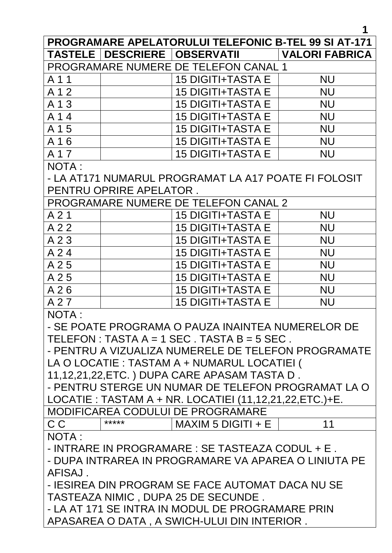**1**

| <b>PROGRAMARE APELATORULUI TELEFONIC B-TEL 99 SI AT-171</b> |       |                                                   |                       |  |  |
|-------------------------------------------------------------|-------|---------------------------------------------------|-----------------------|--|--|
|                                                             |       | TASTELE   DESCRIERE   OBSERVATII                  | <b>VALORI FABRICA</b> |  |  |
| PROGRAMARE NUMERE DE TELEFON CANAL 1                        |       |                                                   |                       |  |  |
| A 1 1                                                       |       | <b>15 DIGITI+TASTA E</b>                          | <b>NU</b>             |  |  |
| A 1 2                                                       |       | <b>15 DIGITI+TASTA E</b>                          | <b>NU</b>             |  |  |
| A 1 3                                                       |       | <b>15 DIGITI+TASTA E</b>                          | <b>NU</b>             |  |  |
| A 14                                                        |       | <b>15 DIGITI+TASTA E</b>                          | <b>NU</b>             |  |  |
| A 1 5                                                       |       | <b>15 DIGITI+TASTA E</b>                          | <b>NU</b>             |  |  |
| A 16                                                        |       | <b>15 DIGITI+TASTA E</b>                          | <b>NU</b>             |  |  |
| A 1 7                                                       |       | <b>15 DIGITI+TASTA E</b>                          | <b>NU</b>             |  |  |
| <b>NOTA:</b>                                                |       |                                                   |                       |  |  |
| - LA AT171 NUMARUL PROGRAMAT LA A17 POATE FI FOLOSIT        |       |                                                   |                       |  |  |
| PENTRU OPRIRE APELATOR.                                     |       |                                                   |                       |  |  |
| PROGRAMARE NUMERE DE TELEFON CANAL 2                        |       |                                                   |                       |  |  |
| A21                                                         |       | <b>15 DIGITI+TASTA E</b>                          | <b>NU</b>             |  |  |
| A 2 2                                                       |       | <b>15 DIGITI+TASTA E</b>                          | <b>NU</b>             |  |  |
| A 2 3                                                       |       | <b>15 DIGITI+TASTA E</b>                          | <b>NU</b>             |  |  |
| A 24                                                        |       | <b>15 DIGITI+TASTA E</b>                          | <b>NU</b>             |  |  |
| A 25                                                        |       | <b>15 DIGITI+TASTA E</b>                          | <b>NU</b>             |  |  |
| A 25                                                        |       | <b>15 DIGITI+TASTA E</b>                          | <b>NU</b>             |  |  |
| A26                                                         |       | <b>15 DIGITI+TASTA E</b>                          | <b>NU</b>             |  |  |
| A 27                                                        |       | <b>15 DIGITI+TASTA E</b>                          | <b>NU</b>             |  |  |
| <b>NOTA:</b>                                                |       |                                                   |                       |  |  |
|                                                             |       | - SE POATE PROGRAMA O PAUZA INAINTEA NUMERELOR DE |                       |  |  |
| TELEFON : TASTA $A = 1$ SEC. TASTA $B = 5$ SEC.             |       |                                                   |                       |  |  |
| - PENTRU A VIZUALIZA NUMERELE DE TELEFON PROGRAMATE         |       |                                                   |                       |  |  |
| LA O LOCATIE : TASTAM A + NUMARUL LOCATIEI (                |       |                                                   |                       |  |  |
| 11, 12, 21, 22, ETC. ) DUPA CARE APASAM TASTA D.            |       |                                                   |                       |  |  |
| - PENTRU STERGE UN NUMAR DE TELEFON PROGRAMAT LA O          |       |                                                   |                       |  |  |
| LOCATIE : TASTAM A + NR. LOCATIEI (11,12,21,22,ETC.)+E.     |       |                                                   |                       |  |  |
|                                                             |       | <b>MODIFICAREA CODULUI DE PROGRAMARE</b>          |                       |  |  |
| C <sub>C</sub>                                              | ***** | $MAXIM 5 DIGITI + E$                              | 11                    |  |  |
| NOTA:                                                       |       |                                                   |                       |  |  |
| - INTRARE IN PROGRAMARE : SE TASTEAZA CODUL + E.            |       |                                                   |                       |  |  |
| - DUPA INTRAREA IN PROGRAMARE VA APAREA O LINIUTA PE        |       |                                                   |                       |  |  |
| AFISAJ.                                                     |       |                                                   |                       |  |  |
| - IESIREA DIN PROGRAM SE FACE AUTOMAT DACA NU SE            |       |                                                   |                       |  |  |
| <b>TASTEAZA NIMIC, DUPA 25 DE SECUNDE.</b>                  |       |                                                   |                       |  |  |
| - LA AT 171 SE INTRA IN MODUL DE PROGRAMARE PRIN            |       |                                                   |                       |  |  |
| APASAREA O DATA, A SWICH-ULUI DIN INTERIOR.                 |       |                                                   |                       |  |  |